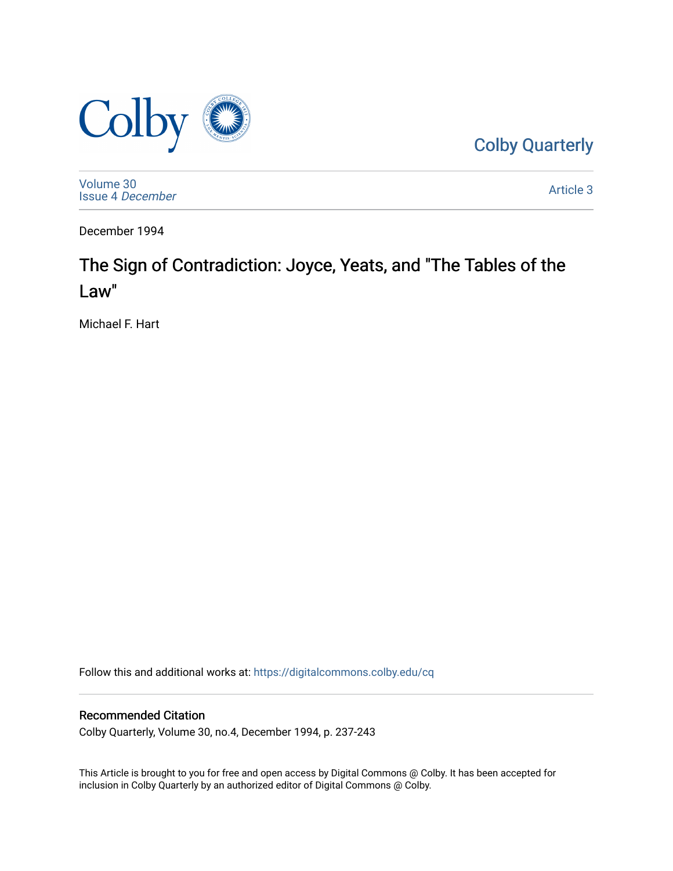

[Colby Quarterly](https://digitalcommons.colby.edu/cq) 

[Volume 30](https://digitalcommons.colby.edu/cq/vol30) [Issue 4](https://digitalcommons.colby.edu/cq/vol30/iss4) December

[Article 3](https://digitalcommons.colby.edu/cq/vol30/iss4/3) 

December 1994

# The Sign of Contradiction: Joyce, Yeats, and "The Tables of the Law"

Michael F. Hart

Follow this and additional works at: [https://digitalcommons.colby.edu/cq](https://digitalcommons.colby.edu/cq?utm_source=digitalcommons.colby.edu%2Fcq%2Fvol30%2Fiss4%2F3&utm_medium=PDF&utm_campaign=PDFCoverPages)

# Recommended Citation

Colby Quarterly, Volume 30, no.4, December 1994, p. 237-243

This Article is brought to you for free and open access by Digital Commons @ Colby. It has been accepted for inclusion in Colby Quarterly by an authorized editor of Digital Commons @ Colby.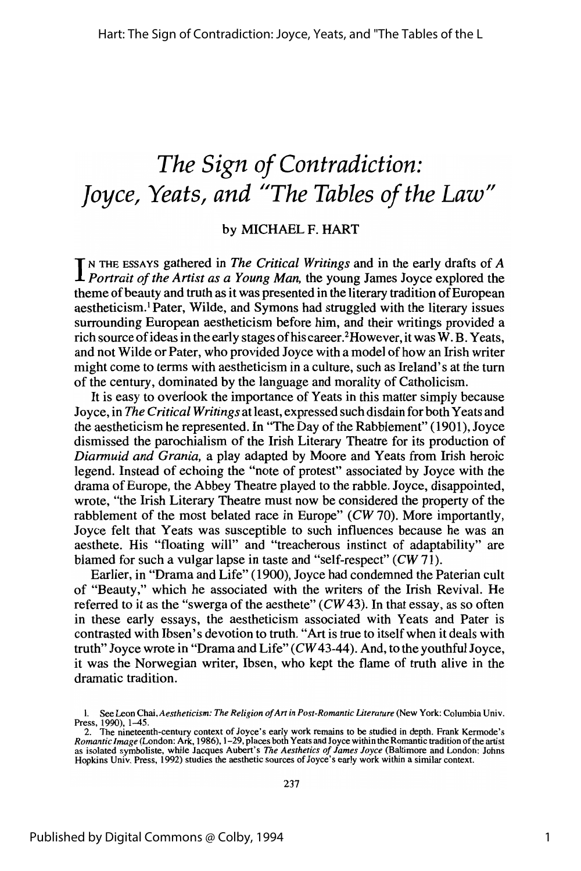# *The Sign of Contradiction: Joyce, Yeats, and "The Tables of the Law"*

## by MICHAEL F. HART

IN THE ESSAYS gathered in *The Critical Writings* and in the early drafts of *A Portrait of the Artist as a Young Man*, the young James Joyce explored the theme of beauty and truth as it was presented in the literary tradition of European aestheticism.! Pater, Wilde, and Symons had struggled with the literary issues surrounding European aestheticism before him, and their writings provided a rich source of ideas in the early stages of his career.<sup>2</sup>However, it was W. B. Yeats, and not Wilde or Pater, who provided Joyce with a model of how an Irish writer might come to terms with aestheticism in a culture, such as Ireland's at the turn of the century, dominated by the language and morality of Catholicism.

It is easy to overlook the importance of Yeats in this matter simply because Joyce, in *The Critical Writings* atleast, expressed such disdain for both Yeats and the aestheticism he represented. In "The Day of the Rabblement" (1901), Joyce dismissed the parochialism of the Irish Literary Theatre for its production of *Diarmuid and Grania,* a play adapted by Moore and Yeats from Irish heroic legend. Instead of echoing the "note of protest" associated by Joyce with the drama of Europe, the Abbey Theatre played to the rabble. Joyce, disappointed, wrote, "the Irish Literary Theatre must now be considered the property of the rabblement of the most belated race in Europe" *(CW 70)*. More importantly, Joyce felt that Yeats was susceptible to such influences because he was an aesthete. His "floating will" and "treacherous instinct of adaptability" are blamed for such a vulgar lapse in taste and "self-respect" (CW 71).

Earlier, in "Drama and Life" (1900), Joyce had condemned the Paterian cult of "Beauty," which he associated with the writers of the Irish Revival. He referred to it as the "swerga of the aesthete"  $(CW 43)$ . In that essay, as so often in these early essays, the aestheticism associated with Yeats and Pater is contrasted with Ibsen's devotion to truth. "Art is true to itself when it deals with truth" Joyce wrote in "Drama and Life"  $(CW43-44)$ . And, to the youthful Joyce, it was the Norwegian writer, Ibsen, who kept the flame of truth alive in the dramatic tradition.

<sup>1.</sup> See Leon Chai, *Aestheticism: The Religion ofArt in Post-Romantic Literature* (New York: Columbia Univ. Press, 1990), 1-45.

<sup>2.</sup> The nineteenth-century context of Joyce's early work remains to be studied in depth. Frank Kermode's Romantic Image (London: Ark, 1986), 1–29, places both Yeats and Joyce within the Romantic tradition of the artist as i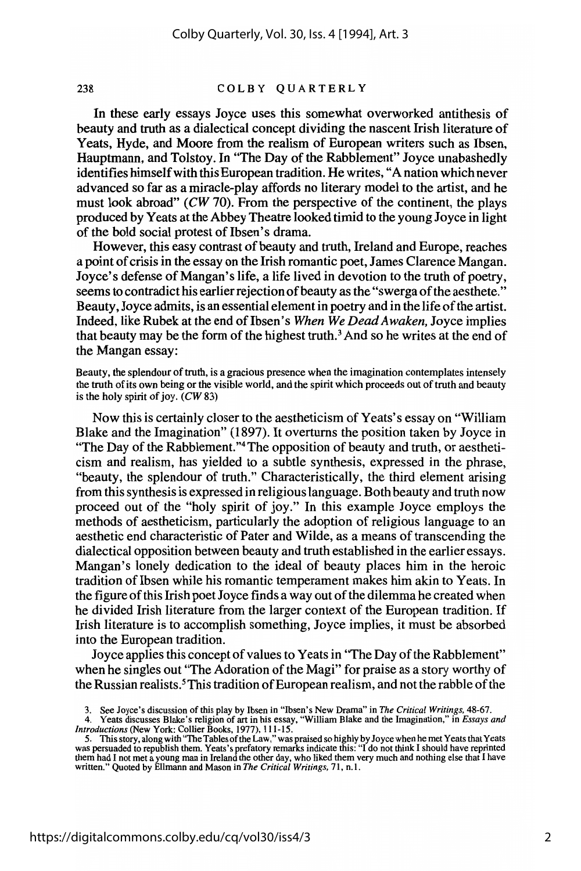### 238 COLBY QUARTERLY

In these early essays Joyce uses this somewhat overworked antithesis of beauty and truth as a dialectical concept dividing the nascent Irish literature of Yeats, Hyde, and Moore from the realism of European writers such as Ibsen, Hauptmann, and Tolstoy. In "The Day of the Rabblement" Joyce unabashedly identifies himself with this European tradition. He writes, "A nation which never advanced so far as a miracle-play affords no literary model to the artist, and he must look abroad" (CW 70). From the perspective of the continent, the plays produced by Yeats at the Abbey Theatre looked timid to the young Joyce in light of the bold social protest of Ibsen's drama.

However, this easy contrast of beauty and truth, Ireland and Europe, reaches a point of crisis in the essay on the Irish romantic poet, James Clarence Mangan. Joyce's defense of Mangan's life, a life lived in devotion to the truth of poetry, seems to contradict his earlier rejection of beauty as the "swerga of the aesthete." Beauty, Joyce admits, is an essential element in poetry and in the life of the artist. Indeed, like Rubek at the end of Ibsen's *When We Dead Awaken*, Joyce implies that beauty may be the form of the highest truth.<sup>3</sup> And so he writes at the end of the Mangan essay:

Beauty, the splendour of truth, is a gracious presence when the imagination contemplates intensely the truth of its own being or the visible world, and the spirit which proceeds out of truth and beauty is the holy spirit of joy.  $(CW 83)$ 

Now this is certainly closer to the aestheticism of Yeats's essay on "William Blake and the Imagination" (1897). It overturns the position taken by Joyce in "The Day of the Rabblement."<sup>4</sup> The opposition of beauty and truth, or aestheticism and realism, has yielded to a subtle synthesis, expressed in the phrase, "beauty, the splendour of truth." Characteristically, the third element arising from thissynthesisis expressed in religious language. Both beauty and truth now proceed out of the "holy spirit of joy." In this example Joyce employs the methods of aestheticism, particularly the adoption of religious language to an aesthetic end characteristic of Pater and Wilde, as a means of transcending the dialectical opposition between beauty and truth established in the earlier essays. Mangan's lonely dedication to the ideal of beauty places him in the heroic tradition of Ibsen while his romantic temperament makes him akin to Yeats. In the figure of this Irish poet Joyce finds a way out of the dilemma he created when he divided Irish literature from the larger context of the European tradition. If Irish literature is to accomplish something, Joyce implies, it must be absorbed into the European tradition.

Joyce applies this concept of values to Yeats in "The Day of the Rabblement" when he singles out "The Adoration of the Magi" for praise as a story worthy of the Russian realists.<sup>5</sup>This tradition of European realism, and not the rabble of the

<sup>3.</sup> See Joyce's discussion of this play by Ibsen in "Ibsen's New Drama" in *The Critical Writings*, 48-67.<br>4. Yeats discusses Blake's religion of art in his essay, "William Blake and the Imagination," in *Essays and Introductions* (New York: Collier Books, 1977), 111-15.

<sup>5.</sup> This story, along with "The Tables of the Law," was praised so highly by Joyce when he met Yeats that Yeats<br>was persuaded to republish them. Yeats's prefatory remarks indicate this: "I do not think I should have reprint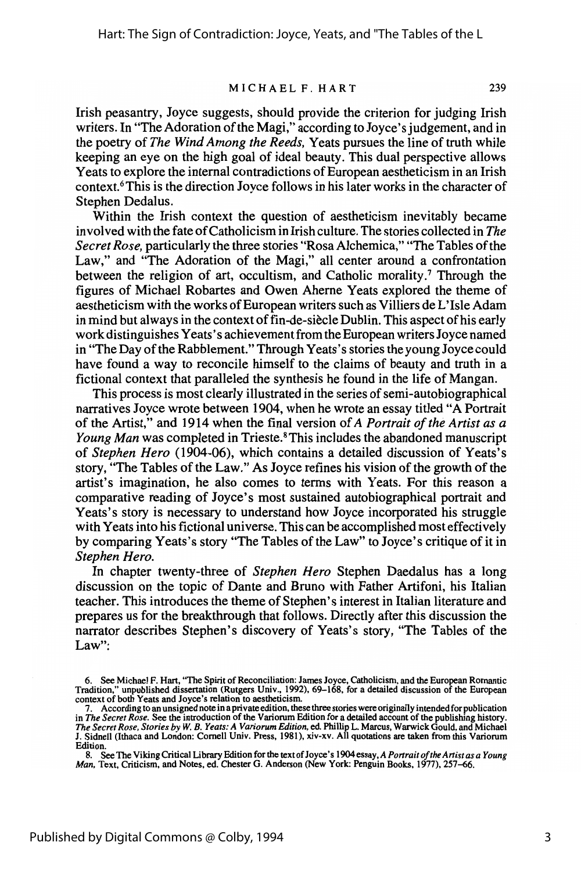### MICHAEL F. HART 239

Irish peasantry, Joyce suggests, should provide the criterion for judging Irish writers. In "The Adoration of the Magi," according to Joyce's judgement, and in the poetry of *The Wind Among the Reeds,* Yeats pursues the line of truth while keeping an eye on the high goal of ideal beauty. This dual perspective allows Yeats to explore the internal contradictions of European aestheticism in an Irish context.6This is the direction Joyce follows in his later works in the character of Stephen Dedalus.

Within the Irish context the question of aestheticism inevitably became involved with the fate ofCatholicism in Irish culture. The stories collected in *The Secret Rose,* particularly the three stories "Rosa Alchemica," "The Tables ofthe Law," and "The Adoration of the Magi," all center around a confrontation between the religion of art, occultism, and Catholic morality.7 Through the figures of Michael Robartes and Owen Aherne Yeats explored the theme of aestheticism with the works ofEuropean writers such as Villiers de L'Isle Adam in mind but always in the context of fin-de-siecle Dublin. This aspect of his early work distinguishes Yeats's achievement from the European writers Joyce named in "The Day of the Rabblement." Through Yeats's stories the young Joyce could have found a way to reconcile himself to the claims of beauty and truth in a fictional context that paralleled the synthesis he found in the life of Mangan.

This process is most clearly illustrated in the series of semi-autobiographical narratives Joyce wrote between 1904, when he wrote an essay titled "A Portrait of the Artist," and 1914 when the final version of *A Portrait of the Artist as a Young Man* was completed in Trieste.<sup>8</sup> This includes the abandoned manuscript of *Stephen Hero* (1904-06), which contains a detailed discussion of Yeats's story, "The Tables of the Law." As Joyce refines his vision of the growth of the artist's imagination, he also comes to terms with Yeats. For this reason a comparative reading of Joyce's most sustained autobiographical portrait and Yeats's story is necessary to understand how Joyce incorporated his struggle with Yeats into his fictional universe. This can be accomplished most effectively by comparing Yeats's story "The Tables ofthe Law" to Joyce's critique ofit in *Stephen Hero.*

In chapter twenty-three of *Stephen Hero* Stephen Daedalus has a long discussion on the topic of Dante and Bruno with Father Artifoni, his Italian teacher. This introduces the theme of Stephen's interest in Italian literature and prepares us for the breakthrough that follows. Directly after this discussion the narrator describes Stephen's discovery of Yeats's story, "The Tables of the Law":

<sup>6.</sup> See Michael F. Hart, "The Spirit of Reconciliation: James Joyce, Catholicism, and the European Romantic Tradition:' unpublished dissertation (Rutgers Univ., 1992),69-168, for a detailed discussion of the European context of both Yeats and Joyce's relation to aestheticism.

<sup>7.</sup> According to an unsigned note in a private edition, these three stories were originally intendedfor publication in *The Secret Rose.* See the introduction ofthe Variorum Edition for a detailed account of the publishing history. *The Secret Rose, Stories by W. B. Yeats: A Variorum Edition,* ed. Phillip L. Marcus, Warwick Gould, and Michael<br>J. Sidnell (Ithaca and London: Cornell Univ. Press, 1981), xiv-xv. All quotations are taken from this Varioru Edition.

<sup>8.</sup> SeeThe Viking Critical Library Edition for the text ofJoyce's 1904essay, *A Portrait oftheArtistas a Young Man,* Text, Criticism, and Notes, ed. Chester G. Anderson (New York: Penguin Books, 1977), 257-66.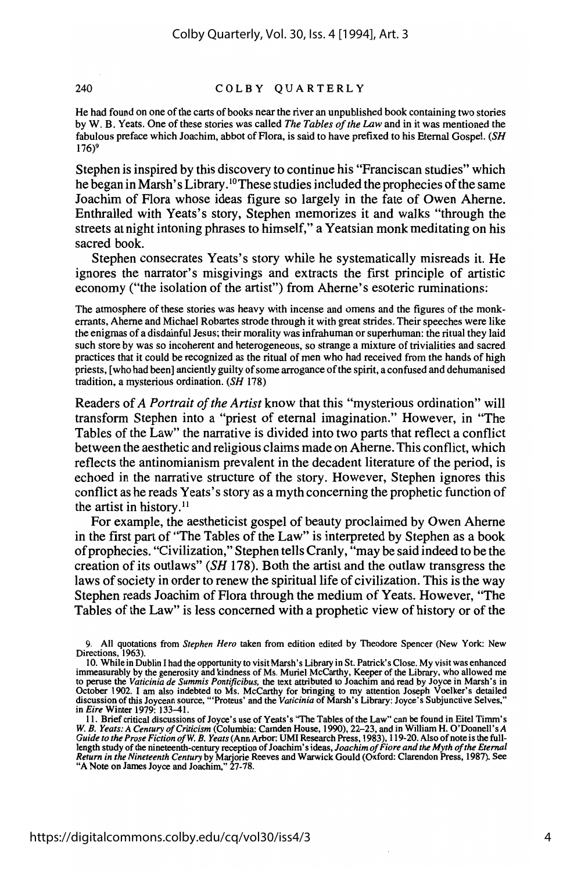#### 240 COLBY QUARTERLY

He had found on one ofthe carts of books near the river an unpublished book containing two stories by W. B. Yeats. One of these stories was called *The Tables of the Law* and in it was mentioned the fabulous preface which Joachim, abbot of Flora, is said to have prefixed to his Eternal Gospel. *(SH*  $176$ <sup>9</sup>

Stephen is inspired by this discovery to continue his "Franciscan studies" which he began in Marsh's Library.10These studiesincluded the prophecies ofthe same Joachim of Flora whose ideas figure so largely in the fate of Owen Aherne. Enthralled with Yeats's story, Stephen memorizes it and walks "through the streets at night intoning phrases to himself," a Yeatsian monk meditating on his sacred book.

Stephen consecrates Yeats's story while he systematically misreads it. He ignores the narrator's misgivings and extracts the first principle of artistic economy ("the isolation of the artist") from Aherne's esoteric ruminations:

The atmosphere of these stories was heavy with incense and omens and the figures of the monkerrants, Aherne and Michael Robartes strode through it with great strides. Their speeches were like the enigmas of a disdainful Jesus; their morality was infrahuman or superhuman: the ritual they laid such store by was so incoherent and heterogeneous, so strange a mixture of trivialities and sacred practices that it could be recognized as the ritual of men who had received from the hands of high priests, [who had been] anciently guilty ofsome arrogance ofthe spirit, a confused and dehumanised tradition, a mysterious ordination. *(SH 178)*

Readers of *A Portrait of the Artist* know that this "mysterious ordination" will transform Stephen into a "priest of eternal imagination." However, in "The Tables of the Law" the narrative is divided into two parts that reflect a conflict between the aesthetic and religious claims made on Aherne. This conflict, which reflects the antinomianism prevalent in the decadent literature of the period, is echoed in the narrative structure of the story. However, Stephen ignores this conflict as he reads Yeats's story as a myth concerning the prophetic function of the artist in history.<sup>11</sup>

For example, the aestheticist gospel of beauty proclaimed by Owen Aherne in the first part of "The Tables of the Law" is interpreted by Stephen as a book ofprophecies. "Civilization," Stephen tells Cranly, "may be said indeed to be the creation ofits outlaws" *(SH* 178). Both the artist and the outlaw transgress the laws of society in order to renew the spiritual life of civilization. This is the way Stephen reads Joachim of Flora through the medium of Yeats. However, "The Tables of the Law" is less concerned with a prophetic view of history or of the

<sup>9.</sup> All quotations from *Stephen Hero* taken from edition edited by Theodore Spencer (New York: New Directions, 1963).

<sup>10.</sup> While in Dublin I had the opportunity to visit Marsh's Library in St. Patrick's Close. My visit was enhanced immeasurably by the generosity and kindness of Ms. Muriel McCarthy, Keeper of the Library, who allowed me immeasurably by the generosity and kindness of Ms. Muriel McCarthy, Keeper of the Library, who allowed me<br>to peruse the Vaticinia de Summis Pontificibus, the text attributed to Joachim and read by Joyce in Marsh's in<br>Octob in *Eire* Winter 1979: 133-41.

II. Brief critical discussions ofJoyce's use of Yeats's "The Tables of the Law" can be found in Eitel Timm's *W. B. Yeats:* A *Century ofCriticism* (Columbia: Camden House, 1990),22-23, and in William H. O'Donnell's *A Guide to the Prose Fiction ofW. B. Yeats* (Ann Arbor: UMI Research Press, 1983), 119-20. Also ofnote is the fulllength study of the nineteenth-century reception of Joachim's ideas, Joachim of Fiore and the Myth of the Eternal<br>Return in the Nineteenth Century by Marjorie Reeves and Warwick Gould (Oxford: Clarendon Press, 1987). See<br>"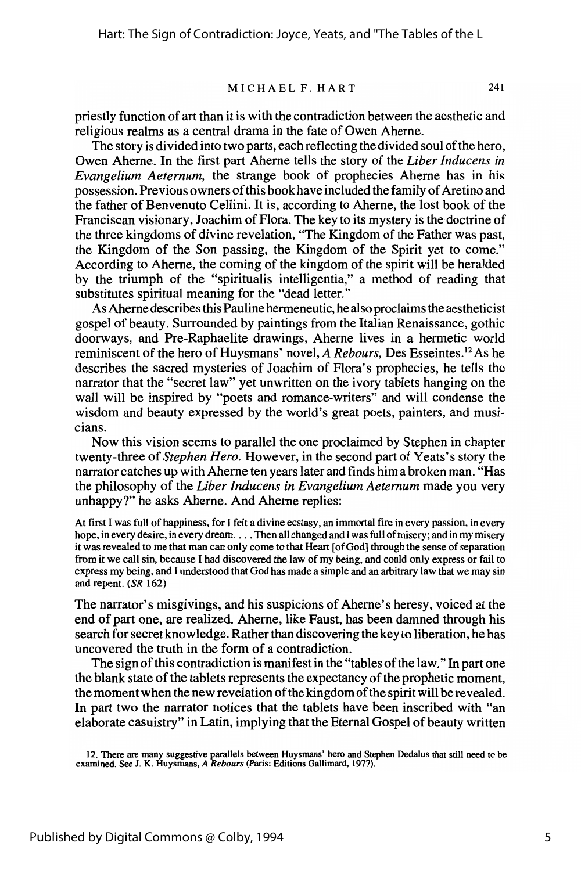#### MICHAEL F. HART <sup>241</sup>

priestly function of art than it is with the contradiction between the aesthetic and religious realms as a central drama in the fate of Owen Aherne.

The story is divided into two parts, each reflecting the divided soul of the hero, Owen Aherne. In the first part Aherne tells the story of the *Liber Inducens in Evangelium Aeternum,* the strange book of prophecies Aherne has in his possession. Previous owners of this book have included the family of Aretino and the father of Benvenuto Cellini. It is, according to Aherne, the lost book of the Franciscan visionary, Joachim of Flora. The key to its mystery is the doctrine of the three kingdoms of divine revelation, "The Kingdom of the Father was past, the Kingdom of the Son passing, the Kingdom of the Spirit yet to come." According to Aherne, the coming of the kingdom of the spirit will be heralded by the triumph of the "spiritualis intelligentia," a method of reading that substitutes spiritual meaning for the "dead letter."

As Aherne describes this Pauline hermeneutic, he also proclaims the aestheticist gospel of beauty. Surrounded by paintings from the Italian Renaissance, gothic doorways, and Pre-Raphaelite drawings, Aherne lives in a hermetic world reminiscent of the hero of Huysmans' novel, *A Rebours,* Des Esseintes. <sup>12</sup> As he describes the sacred mysteries of Joachim of Flora's prophecies, he tells the narrator that the "secret law" yet unwritten on the ivory tablets hanging on the wall will be inspired by "poets and romance-writers" and will condense the wisdom and beauty expressed by the world's great poets, painters, and musicians.

Now this vision seems to parallel the one proclaimed by Stephen in chapter twenty-three of *Stephen Hero.* However, in the second part of Yeats's story the narrator catches up with Aherne ten years later and finds him a broken man. "Has the philosophy of the *Liber Inducens in Evangelium Aetemum* made you very unhappy?" he asks Aherne. And Aherne replies:

At first I was full of happiness, for I felt a divine ecstasy, an immortal fire in every passion, in every hope, in every desire, in every dream....Then all changed and I was full of misery; and in my misery it was revealed to me that man can only come to that Heart [of God] through the sense of separation from it we call sin, because I had discovered the law of my being, and could only express or fail to express my being, and I understood that God has made a simple and an arbitrary law that we may sin and repent. (SR 162)

The narrator's misgivings, and his suspicions of Aherne's heresy, voiced at the end of part one, are realized. Aherne, like Faust, has been damned through his search for secret knowledge. Rather than discovering the key to liberation, he has uncovered the truth in the fonn of a contradiction.

The sign of this contradiction is manifest in the "tables of the law." In part one the blank state of the tablets represents the expectancy of the prophetic moment, the moment when the new revelation of the kingdom of the spirit will be revealed. In part two the narrator notices that the tablets have been inscribed with "an elaborate casuistry" in Latin, implying that the Eternal Gospel of beauty written

12. There are many suggestive parallels between Huysmans' hero and Stephen Dedalus that still need to be examined. See J. K. Huysmans, *A Rebours* (Paris: Editions Gallimard, 1977).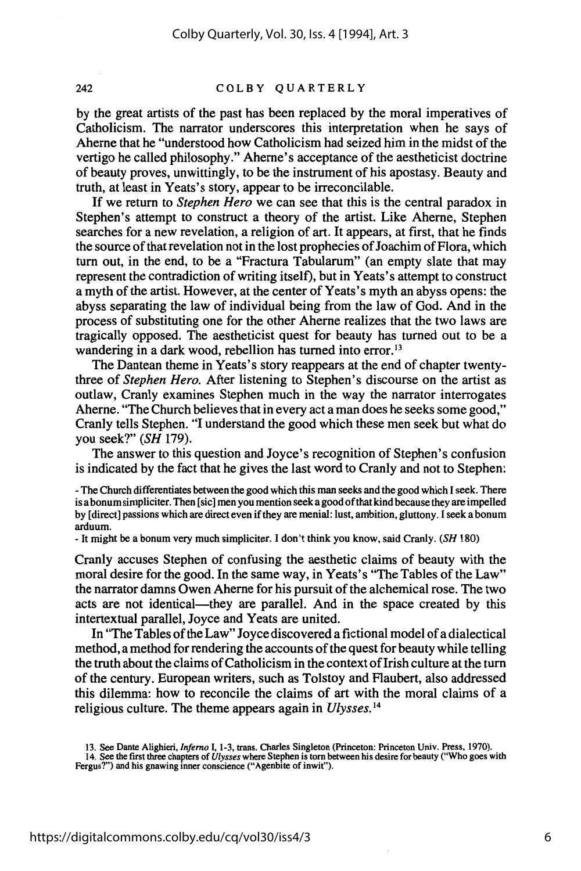#### 242 COLBY QUARTERLY

by the great artists of the past has been replaced by the moral imperatives of Catholicism. The narrator underscores this interpretation when he says of Aherne that he "understood how Catholicism had seized him in the midst of the vertigo he called philosophy." Aherne's acceptance of the aestheticist doctrine of beauty proves, unwittingly, to be the instrument of his apostasy. Beauty and truth, at least in Yeats's story, appear to be irreconcilable.

If we return to *Stephen Hero* we can see that this is the central paradox in Stephen's attempt to construct a theory of the artist. Like Aherne, Stephen searches for a new revelation, a religion of art. It appears, at first, that he finds the source of that revelation not in the lost prophecies of Joachim of Flora, which turn out, in the end, to be a "Fractura Tabularum" (an empty slate that may represent the contradiction of writing itself), but in Yeats's attempt to construct a myth of the artist. However, at the center of Yeats's myth an abyss opens: the abyss separating the law of individual being from the law of God. And in the process of substituting one for the other Aherne realizes that the two laws are tragically opposed. The aestheticist quest for beauty has turned out to be a wandering in a dark wood, rebellion has turned into error.<sup>13</sup>

The Dantean theme in Yeats's story reappears at the end of chapter twentythree of *Stephen Hero.* After listening to Stephen's discourse on the artist as outlaw, Cranly examines Stephen much in the way the narrator interrogates Aherne. "TheChurch believes that in every act a man does he seeks some good," Cranly tells Stephen. "I understand the good which these men seek but what do you seek?" (SH 179).

The answer to this question and Joyce's recognition of Stephen's confusion is indicated by the fact that he gives the last word to Cranly and not to Stephen:

- The Church differentiates between the good which this man seeks and the good which I seek. There is a bonum simpliciter. Then [sic] men you mention seek a good of that kind because they are impelled by [direct] passions which are direct even ifthey are menial: lust, ambition, gluttony. Iseek a bonum arduum.

- It might be a bonum very much simpliciter. I don't think you know, said Cranly. *(SH 180)*

Cranly accuses Stephen of confusing the aesthetic claims of beauty with the moral desire for the good. In the same way, in Yeats's "The Tables of the Law" the narrator damns Owen Aherne for his pursuit ofthe alchemical rose. The two acts are not identical-they are parallel. And in the space created by this intertextual parallel, Joyce and Yeats are united.

In "The Tables of the Law" Joyce discovered a fictional model of a dialectical method, a method for rendering the accounts of the quest for beauty while telling the truth about the claims of Catholicism in the context of Irish culture at the turn of the century. European writers, such as Tolstoy and Flaubert, also addressed this dilemma: how to reconcile the claims of art with the moral claims of a religious culture. The theme appears again in *Ulysses.* <sup>14</sup>

<sup>13.</sup> See Dante Alighieri, *Inferno* I, 1-3, trans. Charles Singleton (Princeton: Princeton Univ. Press, 1970).<br>14. See the first three chapters of *Ulysses* where Stephen is torn between his desire for beauty ("Who goes wit Fergus?") and his gnawing inner conscience ("Agenbite of inwit").